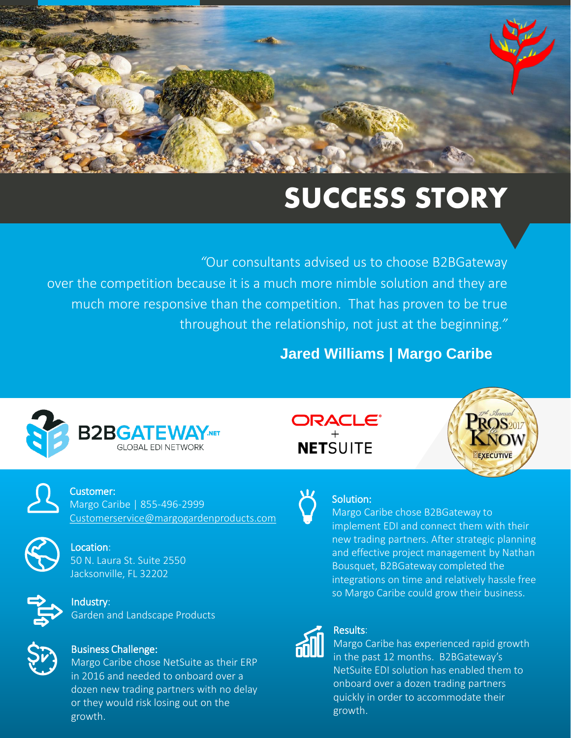# **SUCCESS STORY**

. throughout the relationship, not just at the beginning*." "*Our consultants advised us to choose B2BGateway over the competition because it is a much more nimble solution and they are much more responsive than the competition. That has proven to be true

#### **Jared Williams | Margo Caribe**





Customer: Margo Caribe | 855-496-2999 [Customerservice@margogardenproducts.com](mailto:Customerservice@margogardenproducts.com)



Location: 50 N. Laura St. Suite 2550 Jacksonville, FL 32202



Industry: Garden and Landscape Products



#### Business Challenge:

Margo Caribe chose NetSuite as their ERP in 2016 and needed to onboard over a dozen new trading partners with no delay or they would risk losing out on the growth.





#### Solution:

Margo Caribe chose B2BGateway to implement EDI and connect them with their new trading partners. After strategic planning and effective project management by Nathan Bousquet, B2BGateway completed the integrations on time and relatively hassle free so Margo Caribe could grow their business.



#### Results:

Margo Caribe has experienced rapid growth in the past 12 months. B2BGateway's NetSuite EDI solution has enabled them to onboard over a dozen trading partners quickly in order to accommodate their growth.